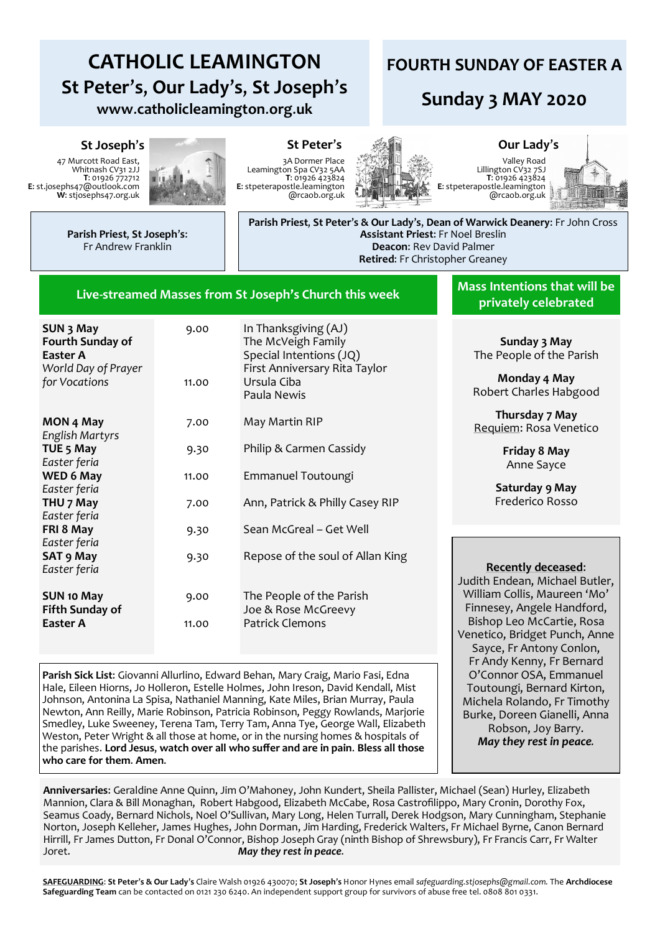# **CATHOLIC LEAMINGTON St Peter**'**s**, **Our Lady**'**s**, **St Joseph**'**s www**.**catholicleamington**.**org**.**uk**

## **FOURTH SUNDAY OF EASTER A**

## **Sunday 3 MAY 2020**

#### **St Joseph**'**s St Peter**'**s Our Lady**'**s**

47 Murcott Road East, Whitnash CV31 2JJ **T**: 01926 772712 **E**: st.josephs47@outlook.com **W**: stjosephs47.org.uk



3A Dormer Place Leamington Spa CV32 5AA **T**: 01926 423824 **E**: stpeterapostle.leamington @rcaob.org.uk



Valley Road Lillington CV32 7SJ **T**: 01926 423824 **E**: stpeterapostle.leamington @rcaob.org.uk



**Parish Priest**, **St Joseph**'**s**: Fr Andrew Franklin

**Parish Priest**, **St Peter**'**s & Our Lady**'**s**, **Dean of Warwick Deanery**: Fr John Cross **Assistant Priest**: Fr Noel Breslin **Deacon**: Rev David Palmer **Retired**: Fr Christopher Greaney

#### **Live-streamed Masses from St Joseph's Church this week**

| SUN 3 May<br><b>Fourth Sunday of</b><br>Easter A<br>World Day of Prayer<br>for Vocations | 9.00<br>11.00 | In Thanksgiving (AJ)<br>The McVeigh Family<br>Special Intentions (JQ)<br>First Anniversary Rita Taylor<br>Ursula Ciba<br>Paula Newis |
|------------------------------------------------------------------------------------------|---------------|--------------------------------------------------------------------------------------------------------------------------------------|
| MON 4 May                                                                                | 7.00          | May Martin RIP                                                                                                                       |
| English Martyrs<br>TUE <sub>5</sub> May                                                  | 9.30          | Philip & Carmen Cassidy                                                                                                              |
| Easter feria<br>WED 6 May                                                                | 11.00         | Emmanuel Toutoungi                                                                                                                   |
| Easter feria                                                                             |               |                                                                                                                                      |
| THU 7 May<br>Easter feria                                                                | 7.00          | Ann, Patrick & Philly Casey RIP                                                                                                      |
| FRI 8 May                                                                                | 9.30          | Sean McGreal – Get Well                                                                                                              |
| Easter feria<br><b>SAT 9 May</b>                                                         | 9.30          | Repose of the soul of Allan King                                                                                                     |
| Easter feria                                                                             |               |                                                                                                                                      |
| <b>SUN 10 May</b><br><b>Fifth Sunday of</b>                                              | 9.00          | The People of the Parish<br>Joe & Rose McGreevy                                                                                      |
| Easter A                                                                                 | 11.00         | <b>Patrick Clemons</b>                                                                                                               |

**Parish Sick List**: Giovanni Allurlino, Edward Behan, Mary Craig, Mario Fasi, Edna Hale, Eileen Hiorns, Jo Holleron, Estelle Holmes, John Ireson, David Kendall, Mist Johnson, Antonina La Spisa, Nathaniel Manning, Kate Miles, Brian Murray, Paula Newton, Ann Reilly, Marie Robinson, Patricia Robinson, Peggy Rowlands, Marjorie Smedley, Luke Sweeney, Terena Tam, Terry Tam, Anna Tye, George Wall, Elizabeth Weston, Peter Wright & all those at home, or in the nursing homes & hospitals of the parishes. **Lord Jesus**, **watch over all who suffer and are in pain**. **Bless all those who care for them**. **Amen**.

**Mass Intentions that will be privately celebrated** 

> **Sunday 3 May** The People of the Parish

> **Monday 4 May** Robert Charles Habgood

> **Thursday 7 May** Requiem: Rosa Venetico

> > **Friday 8 May** Anne Sayce

**Saturday 9 May** Frederico Rosso

### **Recently deceased**:

Judith Endean, Michael Butler, William Collis, Maureen 'Mo' Finnesey, Angele Handford, Bishop Leo McCartie, Rosa Venetico, Bridget Punch, Anne Sayce, Fr Antony Conlon, Fr Andy Kenny, Fr Bernard O'Connor OSA, Emmanuel Toutoungi, Bernard Kirton, Michela Rolando, Fr Timothy Burke, Doreen Gianelli, Anna Robson, Joy Barry. *May they rest in peace.*

**Anniversaries**: Geraldine Anne Quinn, Jim O'Mahoney, John Kundert, Sheila Pallister, Michael (Sean) Hurley, Elizabeth Mannion, Clara & Bill Monaghan, Robert Habgood, Elizabeth McCabe, Rosa Castrofilippo, Mary Cronin, Dorothy Fox, Seamus Coady, Bernard Nichols, Noel O'Sullivan, Mary Long, Helen Turrall, Derek Hodgson, Mary Cunningham, Stephanie Norton, Joseph Kelleher, James Hughes, John Dorman, Jim Harding, Frederick Walters, Fr Michael Byrne, Canon Bernard Hirrill, Fr James Dutton, Fr Donal O'Connor, Bishop Joseph Gray (ninth Bishop of Shrewsbury), Fr Francis Carr, Fr Walter Joret. *May they rest in peace.*

**SAFEGUARDING**: **St Peter**'**s & Our Lady**'**s** Claire Walsh 01926 430070; **St Joseph**'**s** Honor Hynes email *safeguarding.stjosephs@gmail.com.* The **Archdiocese Safeguarding Team** can be contacted on 0121 230 6240. An independent support group for survivors of abuse free tel. 0808 801 0331.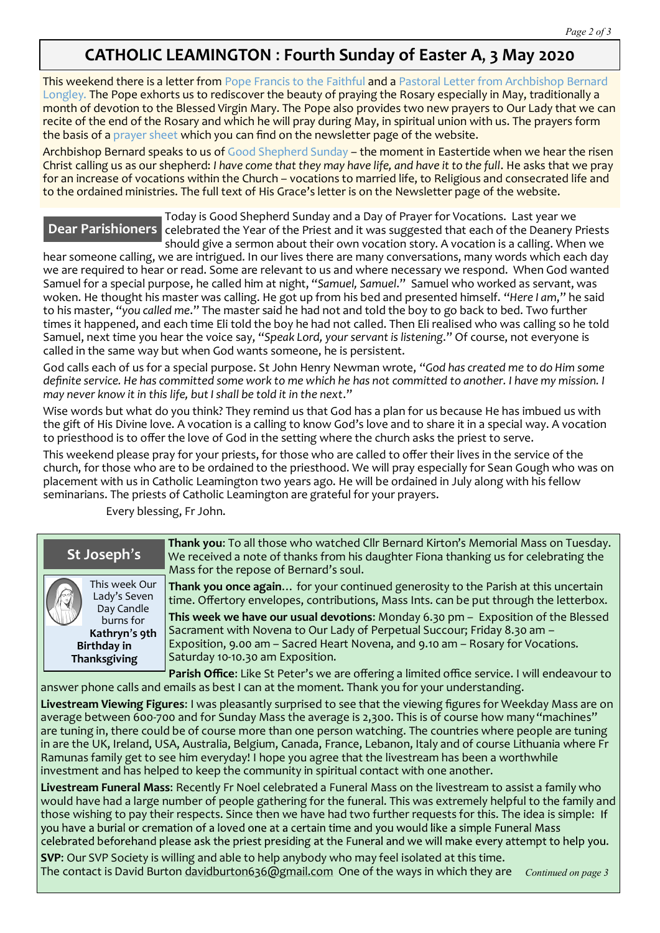## **CATHOLIC LEAMINGTON** : **Fourth Sunday of Easter A**, **3 May 2020**

This weekend there is a letter from Pope Francis to the Faithful and a Pastoral Letter from Archbishop Bernard Longley. The Pope exhorts us to rediscover the beauty of praying the Rosary especially in May, traditionally a month of devotion to the Blessed Virgin Mary. The Pope also provides two new prayers to Our Lady that we can recite of the end of the Rosary and which he will pray during May, in spiritual union with us. The prayers form the basis of a prayer sheet which you can find on the newsletter page of the website.

Archbishop Bernard speaks to us of Good Shepherd Sunday – the moment in Eastertide when we hear the risen Christ calling us as our shepherd: *I have come that they may have life, and have it to the full*. He asks that we pray for an increase of vocations within the Church – vocations to married life, to Religious and consecrated life and to the ordained ministries. The full text of His Grace's letter is on the Newsletter page of the website.

## **Dear Parishioners**

Today is Good Shepherd Sunday and a Day of Prayer for Vocations. Last year we celebrated the Year of the Priest and it was suggested that each of the Deanery Priests should give a sermon about their own vocation story. A vocation is a calling. When we

hear someone calling, we are intrigued. In our lives there are many conversations, many words which each day we are required to hear or read. Some are relevant to us and where necessary we respond. When God wanted Samuel for a special purpose, he called him at night, "*Samuel, Samuel*." Samuel who worked as servant, was woken. He thought his master was calling. He got up from his bed and presented himself. "*Here I am*," he said to his master, "*you called me*." The master said he had not and told the boy to go back to bed. Two further times it happened, and each time Eli told the boy he had not called. Then Eli realised who was calling so he told Samuel, next time you hear the voice say, "*Speak Lord, your servant is listening*." Of course, not everyone is called in the same way but when God wants someone, he is persistent.

God calls each of us for a special purpose. St John Henry Newman wrote, "*God has created me to do Him some definite service. He has committed some work to me which he has not committed to another. I have my mission. I may never know it in this life, but I shall be told it in the next*."

Wise words but what do you think? They remind us that God has a plan for us because He has imbued us with the gift of His Divine love. A vocation is a calling to know God's love and to share it in a special way. A vocation to priesthood is to offer the love of God in the setting where the church asks the priest to serve.

This weekend please pray for your priests, for those who are called to offer their lives in the service of the church, for those who are to be ordained to the priesthood. We will pray especially for Sean Gough who was on placement with us in Catholic Leamington two years ago. He will be ordained in July along with his fellow seminarians. The priests of Catholic Leamington are grateful for your prayers.

Every blessing, Fr John.



**St Joseph**'**s**

This week Our Lady's Seven Day Candle burns for **Kathryn**'**s 9th Birthday in Thanksgiving**

**Thank you**: To all those who watched Cllr Bernard Kirton's Memorial Mass on Tuesday. We received a note of thanks from his daughter Fiona thanking us for celebrating the Mass for the repose of Bernard's soul.

**Thank you once again**… for your continued generosity to the Parish at this uncertain time. Offertory envelopes, contributions, Mass Ints. can be put through the letterbox.

**This week we have our usual devotions**: Monday 6.30 pm – Exposition of the Blessed Sacrament with Novena to Our Lady of Perpetual Succour; Friday 8.30 am – Exposition, 9.00 am – Sacred Heart Novena, and 9.10 am – Rosary for Vocations. Saturday 10-10.30 am Exposition.

**Parish Office**: Like St Peter's we are offering a limited office service. I will endeavour to answer phone calls and emails as best I can at the moment. Thank you for your understanding.

**Livestream Viewing Figures**: I was pleasantly surprised to see that the viewing figures for Weekday Mass are on average between 600-700 and for Sunday Mass the average is 2,300. This is of course how many "machines" are tuning in, there could be of course more than one person watching. The countries where people are tuning in are the UK, Ireland, USA, Australia, Belgium, Canada, France, Lebanon, Italy and of course Lithuania where Fr Ramunas family get to see him everyday! I hope you agree that the livestream has been a worthwhile investment and has helped to keep the community in spiritual contact with one another.

**Livestream Funeral Mass**: Recently Fr Noel celebrated a Funeral Mass on the livestream to assist a family who would have had a large number of people gathering for the funeral. This was extremely helpful to the family and those wishing to pay their respects. Since then we have had two further requests for this. The idea is simple: If<br>you have a burial or cremation of a loved one at a certain time and you would like a simple Funeral Mass celebrated beforehand please ask the priest presiding at the Funeral and we will make every attempt to help you.

**SVP**: Our SVP Society is willing and able to help anybody who may feel isolated at this time. The contact is David Burton [davidburton636@gmail.com](mailto:davidburton636@gmail.com) One of the ways in which they are *Continued on page 3*